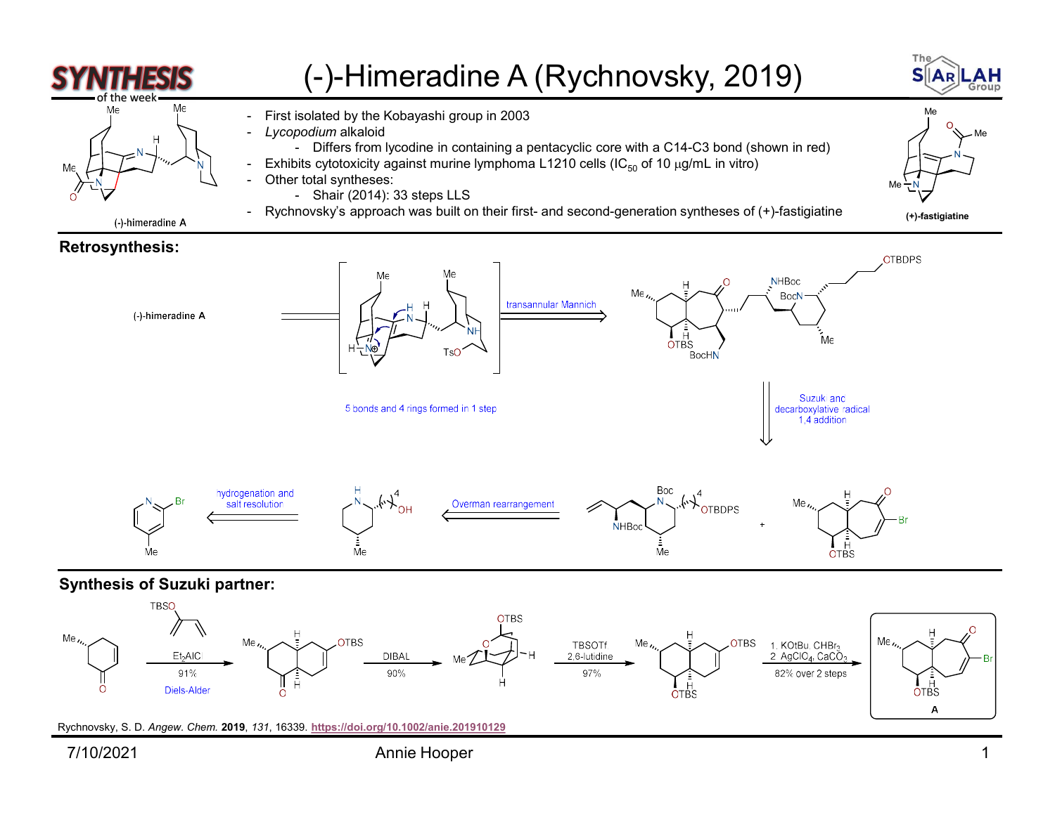